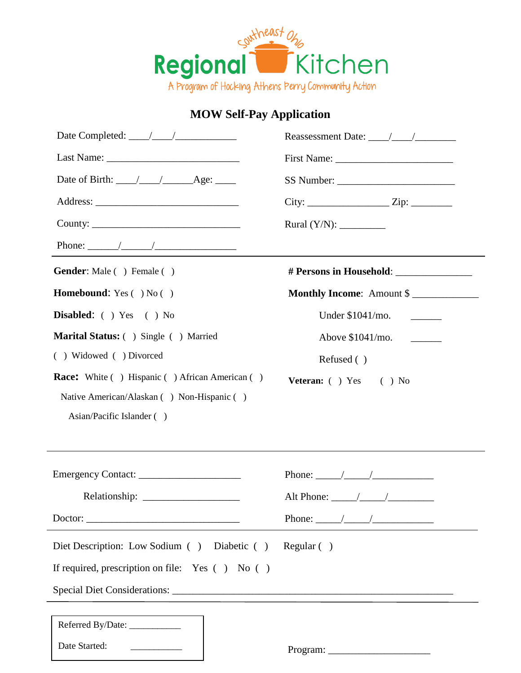

## **MOW Self-Pay Application**

| Date Completed: $\frac{1}{\sqrt{1-\frac{1}{2}}}\frac{1}{\sqrt{1-\frac{1}{2}}}\frac{1}{\sqrt{1-\frac{1}{2}}}\frac{1}{\sqrt{1-\frac{1}{2}}}\frac{1}{\sqrt{1-\frac{1}{2}}}\frac{1}{\sqrt{1-\frac{1}{2}}}\frac{1}{\sqrt{1-\frac{1}{2}}}\frac{1}{\sqrt{1-\frac{1}{2}}}\frac{1}{\sqrt{1-\frac{1}{2}}}\frac{1}{\sqrt{1-\frac{1}{2}}}\frac{1}{\sqrt{1-\frac{1}{2}}}\frac{1}{\sqrt{1-\frac{1}{2}}}\frac{1}{\sqrt{1-\frac{$        |                                                |  |  |
|--------------------------------------------------------------------------------------------------------------------------------------------------------------------------------------------------------------------------------------------------------------------------------------------------------------------------------------------------------------------------------------------------------------------------|------------------------------------------------|--|--|
|                                                                                                                                                                                                                                                                                                                                                                                                                          | First Name:                                    |  |  |
| Date of Birth: $\_\_\_\_\_\_\_\_\_\_\_\_\_\_\_\_\_\_\_\_\_\_\_\_\_\_\_\_\_\_\_\_\_\_\_\_$                                                                                                                                                                                                                                                                                                                                |                                                |  |  |
|                                                                                                                                                                                                                                                                                                                                                                                                                          | $City:$ $Zip:$ $Zip:$ $\qquad \qquad$          |  |  |
|                                                                                                                                                                                                                                                                                                                                                                                                                          | Rural $(Y/N)$ :                                |  |  |
| Phone: $\frac{1}{\sqrt{1-\frac{1}{2}}}\frac{1}{\sqrt{1-\frac{1}{2}}}\frac{1}{\sqrt{1-\frac{1}{2}}}\frac{1}{\sqrt{1-\frac{1}{2}}}\frac{1}{\sqrt{1-\frac{1}{2}}}\frac{1}{\sqrt{1-\frac{1}{2}}}\frac{1}{\sqrt{1-\frac{1}{2}}}\frac{1}{\sqrt{1-\frac{1}{2}}}\frac{1}{\sqrt{1-\frac{1}{2}}}\frac{1}{\sqrt{1-\frac{1}{2}}}\frac{1}{\sqrt{1-\frac{1}{2}}}\frac{1}{\sqrt{1-\frac{1}{2}}}\frac{1}{\sqrt{1-\frac{1}{2}}}\frac{1}{$ | <u> 1989 - Jan Sterling Sterling (f. 1989)</u> |  |  |
| <b>Gender:</b> Male () Female ()                                                                                                                                                                                                                                                                                                                                                                                         |                                                |  |  |
| <b>Homebound:</b> Yes $( )$ No $( )$                                                                                                                                                                                                                                                                                                                                                                                     | Monthly Income: Amount \$                      |  |  |
| Disabled: ( ) Yes ( ) No                                                                                                                                                                                                                                                                                                                                                                                                 |                                                |  |  |
| Marital Status: () Single () Married                                                                                                                                                                                                                                                                                                                                                                                     |                                                |  |  |
| () Widowed () Divorced                                                                                                                                                                                                                                                                                                                                                                                                   | Refused ()                                     |  |  |
| <b>Race:</b> White ( ) Hispanic ( ) African American ( )                                                                                                                                                                                                                                                                                                                                                                 | Veteran: ( ) Yes ( ) No                        |  |  |
| Native American/Alaskan () Non-Hispanic ()                                                                                                                                                                                                                                                                                                                                                                               |                                                |  |  |
| Asian/Pacific Islander ()                                                                                                                                                                                                                                                                                                                                                                                                |                                                |  |  |
|                                                                                                                                                                                                                                                                                                                                                                                                                          |                                                |  |  |
|                                                                                                                                                                                                                                                                                                                                                                                                                          |                                                |  |  |
|                                                                                                                                                                                                                                                                                                                                                                                                                          |                                                |  |  |
|                                                                                                                                                                                                                                                                                                                                                                                                                          |                                                |  |  |
|                                                                                                                                                                                                                                                                                                                                                                                                                          |                                                |  |  |
| Diet Description: Low Sodium () Diabetic ()                                                                                                                                                                                                                                                                                                                                                                              | Regular( )                                     |  |  |
| If required, prescription on file: Yes $( )$ No $( )$                                                                                                                                                                                                                                                                                                                                                                    |                                                |  |  |
|                                                                                                                                                                                                                                                                                                                                                                                                                          |                                                |  |  |
|                                                                                                                                                                                                                                                                                                                                                                                                                          |                                                |  |  |
| Referred By/Date:                                                                                                                                                                                                                                                                                                                                                                                                        |                                                |  |  |
| Date Started:                                                                                                                                                                                                                                                                                                                                                                                                            | Program:                                       |  |  |